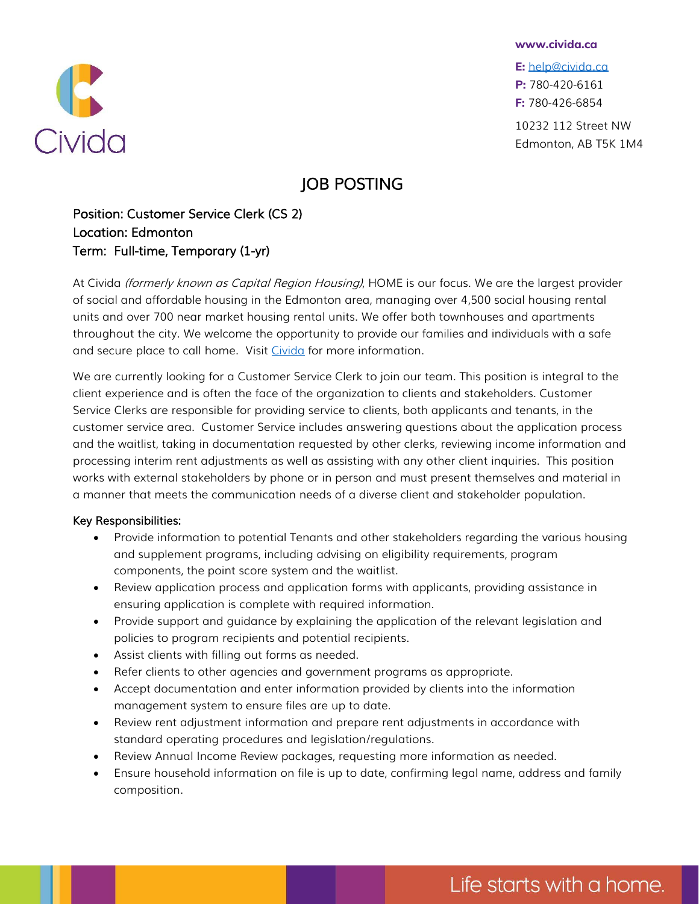

**E:** [help@civida.ca](mailto:help@civida.ca) **P:** 780-420-6161 **F:** 780-426-6854

10232 112 Street NW Edmonton, AB T5K 1M4

## JOB POSTING

Position: Customer Service Clerk (CS 2) Location: Edmonton Term: Full-time, Temporary (1-yr)

At Civida (formerly known as Capital Region Housing), HOME is our focus. We are the largest provider of social and affordable housing in the Edmonton area, managing over 4,500 social housing rental units and over 700 near market housing rental units. We offer both townhouses and apartments throughout the city. We welcome the opportunity to provide our families and indi[viduals with a safe](mailto:greg.dewling@civida.ca)  and secure place to call home. Visit [Civida](http://www.civida.ca/) for more information.

We are currently looking for a Customer Service Clerk to join our team. This posit[ion is integral to the](mailto:greg.dewling@civida.ca)  client experience and is often the face of the organization to clients and stakehol[ders. Customer](mailto:greg.dewling@civida.ca)  Service Clerks are responsible for providing service to clients, both applicants and [tenants, in the](mailto:greg.dewling@civida.ca)  customer service area. Customer Service includes answering questions about th[e application process](mailto:greg.dewling@civida.ca)  and the waitlist, taking in documentation requested by other clerks, reviewing inc[ome information and](mailto:greg.dewling@civida.ca)  processing interim rent adjustments as well as assisting with any other client inq[uiries. This position](mailto:greg.dewling@civida.ca)  works with external stakeholders by phone or in person and must present thems[elves and material in](mailto:greg.dewling@civida.ca)  a manner that meets the communication needs of a diverse client and stakehold[er population.](mailto:greg.dewling@civida.ca)

## Key Responsibilities:

- Provide information to potential Tenants and other stakeholders regardin[g the various housing](mailto:greg.dewling@civida.ca)  and supplement programs, including advising on eligibility requirements, [program](mailto:greg.dewling@civida.ca)  components, the point score system and the waitlist.
- Review application process and application forms with applicants, providi[ng assistance in](mailto:greg.dewling@civida.ca)  ensuring application is complete with required information.
- Provide support and guidance by explaining the application of the relevant legislation and policies to program recipients and potential recipients.
- Assist clients with filling out forms as needed.
- Refer clients to other agencies and government programs as appropriate.
- Accept documentation and enter information provided by clients into the information management system to ensure files are up to date.
- Review rent adjustment information and prepare rent adjustments in accordance with standard operating procedures and legislation/regulations.
- Review Annual Income Review packages, requesting more information as needed.
- Ensure household information on file is up to date, confirming legal name, address and family composition.